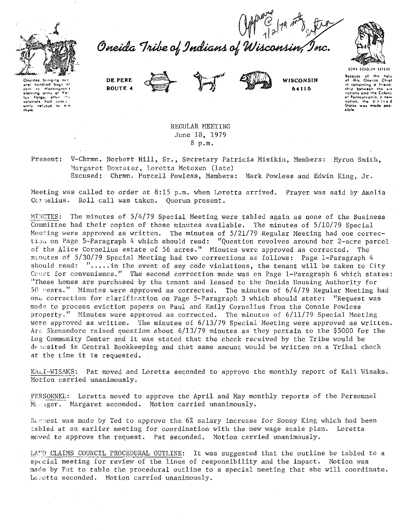



 $O$ reida Tribe of Indians of Wisconsing



Onoidas brinaina arel nundred boas a to Washington's starving army at Va'.<br>I - forme, after the luy forge, after the ently refused to and

DE PERE **BOUTE 4** 





WISCONSIN 54115

Bocause of the help<br>of this Oneida Chief in rementing a triand-<br>ship between the six of Pennsylvania, a new Status was made not. sible.

REGULAR MEETING June 18, 1979  $8\cdot p.m.$ 

V-Chrmn. Norbert Hill, Sr., Secretary Patricia Misikin, Members: Myron Smith, Present: Margaret Doxtater, Loretta Metoxen (late)

Excused: Chrmn. Purcell Powless, Members: Mark Powless and Edwin King, Jr.

Meeting was called to order at 8:15 p.m. when Loretta arrived. Prayer was said by Amelia Cornelius. Roll call was taken. Quorum present.

MINUTES: The minutes of 5/4/79 Special Meeting were tabled again as none of the Business Committee had their copies of those minutes available. The minutes of 5/10/79 Special Meeting were approved as written. The minutes of 5/21/79 Regular Meeting had one correction on Page 5-Paragraph 4 which should read: "Question revolves around her 2-acre parcel of the Alice Cornelius estate of 56 acres." Minutes were approved as corrected. The minutes of 5/30/79 Special Meeting had two corrections as follows: Page 1-Paragraph 4 should read: ".....in the event of any code violations, the tenant will be taken to City Court for convenience." The second correction made was on Page 1-Paragraph 6 which states: "These homes are purchased by the tenant and leased to the Oneida Housing Authority for 50 vears." Minutes were approved as corrected. The minutes of 6/4/79 Regular Meeting had one correction for clarification on Page 5-Paragraph 3 which should state: "Request was made to process eviction papers on Paul and Emily Cornelius from the Connie Powless property." Minutes were approved as corrected. The minutes of 6/11/79 Special Meeting were approved as written. The minutes of  $6/13/79$  Special Meeting were approved as written. Art Skenandore raised question about  $6/13/79$  minutes as they pertain to the \$5000 for the Log Community Center and it was stated that the check received by the Tribe would be deposited in Central Bookkeeping and that same amount would be written on a Tribal check at the time it is requested.

KALI-WISAKS: Pat moved and Loretta seconded to approve the monthly report of Kali Wisaks. Motion carried unanimously.

PERSONNEL: Loretta moved to approve the April and May monthly reports of the Personnel Manager. Margaret seconded. Motion carried unanimously.

Recuest was made by Ted to approve the 6% salary increase for Sonny King which had been tabled at an earlier meeting for coordination with the new wage scale plan. Loretta moved to approve the request. Pat seconded. Motion carried unanimously.

LAND CLAIMS COUNCIL PROCEDURAL OUTLINE: It was suggested that the outline be tabled to a special meeting for review of the lines of responsibility and the impact. Motion was made by Pat to table the procedural outline to a special meeting that she will coordinate. Loretta seconded. Motion carried unanimously.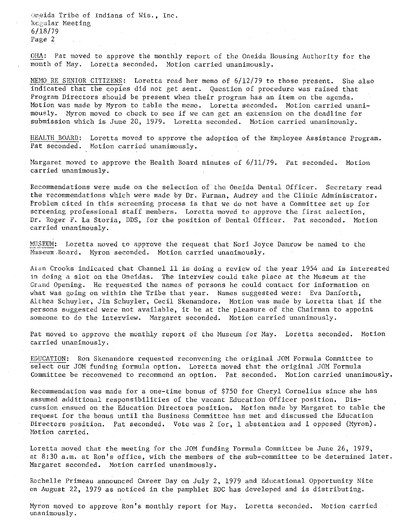$\Diamond$ neida Tribe of Indians of Wis., Inc. Regular Meeting 6/18/79 Page 2

ORA: Pat moved to approve the monthly report of the Oneida Housing Authority for the month of May. Loretta seconded. Motion carried unanimously.

MEMO RE SENIOR CITIZENS: Loretta read her memo of 6/12/79 to those present. She also indicated that the copies did not get sent. Question of procedure was raised that Program Directors should be present when their program has an item on the agenda. Motion was made by Myron to table the memo. Loretta seconded. Motion carried unanimously. Myron moved to check to see if we can get an extension on the deadline for submission which is June 20, 1979. Loretta seconded. Motion carried unanimously.

HEALTH BOARD: Loretta moved to approve the adoption of the Employee Assistance Program. Pat seconded. Motion carried unanimously.

Margaret moved to approve the Health Board minutes of 6/11/79. Pat seconded. Motion **carried unanimously.** 

Recommendations were made on the selection of the Oneida Dental Officer. Secretary read the recommendations which were made by Dr. Furman, Audrey and the Clinic Administrator. Problem cited in this screening process is that we do not have a Committee set up for screening professional staff members. Loretta moved to approve the first selection, Dr. Roger F. La Storia, DDS, for the position of Dental Officer. Pat seconded. Motion **carried unanimously.** 

MUSEUM: Loretta moved to approve the request that Nori Joyce Damrow be named to the Museum.Board. Myron seconded. Motion carried unanimously.

Alan Crooks indicated that Channel 11 is doing a review of the year 1954 and is interested in doing a slot on the Oneidas. The interview could take place at the Museum at the Grand Opening. He requested the names of persons he could contact for information on what was going on within the Tribe that year. Names suggested were: Eva Danforth, Althea Schuyler, Jim Schuyler, Cecil Skenandore. Motion was made by Loretta that if the persons suggested were not available, it be at the pleasure of the Chairman to appoint someone to do the interview. Margaret seconded. Motion carried unanimously.

Pat moved to approve the monthly report of the Museum for May. Loretta seconded. Motion **carried unanimously.** 

EDUCATION: Ron Skenandore requested reconvening the original JOM Formula Committee to select our JOM funding formula option. Loretta moved that the original JOM Formula Committee be reconvened to recommend an option. Pat seconded. Motion carried unanimously.

Recommendation was made for a one-time bonus of \$750 for Cheryl Cornelius since she has assumed additional responsibilities of the vacant Education Officer position. Discussion.ensued on the Education Directors position. Motion made by Margaret to table the request for the bonus until the Business Committee has met and discussed the Education Directors position. Pat seconded. Vote was 2 for, 1 abstention and 1 opposed (Myron). Motion carried.

Loretta moved that the meeting for the JOM funding Formula Committee be June 26, 1979, at 8:30a.m. at Ron's office, with the members of the sub-committee to be determined later. Margaret seconded. Motion carried unanimously.

Rochelle Primeau announced Career Day on July 2, 1979 and Educational Opportunity Nite on August 22, 1979 as noticed in the pamphlet EOC has developed and is distributing.

Myron moved to approve Ron's monthly report for May. Loretta seconded. Motion carried **unanimously.**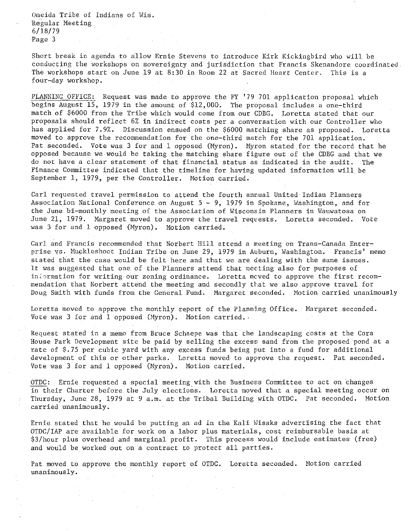Oneida Tribe of Indians of Wis. Regular Neeting 6/18/79 Page 3

Short break in agenda to allow Ernie Stevens to introduce Kirk Kickingbird who will be conducting the workshops on sovereignty and jurisdiction that Francis Skenandore coordinated. The workshops start on June 19 at 8:30 in Room 22 at Sacred Heart Center. This is a four-day workshop.

PLANNING OFFICE: Request was made to approve the FY '79 701 application proposal which begins August 15, 1979 in the amount of \$12,000. The proposal includes a one-third match of \$6000 from the Tribe which would come from our CDBG. Loretta stated that our proposals should reflect 6% in indirect costs per a conversation with our Controller who has applied for 7.9%. Discussion ensued on the \$6000 matching share as proposed. Loretta moved to approve the recommendation for the one-third match for the 701 application. Pat seconded. Vote was 3 for and 1 opposed (Nyron). Nyron stated for the record that he opposed because we would be taking the matching share figure out of the CDBG and that we do not have a clear statement of that financial status as indicated in the audit. The Finance Committee indicated that the timeline for having updated information will be September 1, 1979, per the Controller. Notion carried.

Carl requested travel permission to attend the fourth annual United Indian Planners Association National Conference on August 5 - 9, 1979 in Spokane, Washington, and for the June bi-monthly meeting of the Association of Wisconsin Planners in Wauwatosa on June 21, 1979. Nargaret moved to approve the travel reqvests. Loretta seconded. Vote was 3 for and 1 opposed (Nyron). Notion carried.

Carl and Francis recommended that Norbert Hill attend a meeting on Trans-Canada Enterprise ys. Muckleshoot Indian Tribe on June 29, 1979 in Auburn, Washington. Francis' memo slated that the case would be felt here and that we are dealing with the same issues. It was suggested that one of the Planners attend that meeting also for purposes of **inLormation for writing our zoning ordinance. Loretta meved to approve the first recom**mendation that Norbert attend the meeting and secondly that we also approve travel for Doug Smith with funds from the General Fund. Margaret seconded. Motion carried unanimously

Loretta moved to approve the monthly report of the Planning Office. Nargaret seconded. Vote was 3 for and 1 opposed (Myron). Motion carried.

Request stated in a memo from Bruce Schaepe was that the landscaping costs at the Cora House Park Development site be paid by selling the excess sand from the proposed pond at a rate of \$.75 per cubic yard with any excess funds being put into a fund for additional development of this or other parks. Loretta moved to approve the request. Pat seconded. Vote was 3 for and 1 opposed (Hyron). Hotion carried.

OTDC: Ernie requested a special meeting with the Business Committee to act on changes in their Charter before the July elections. Loretta moved that a special meeting occur on Thursday, June 28, 1979 at 9 a.m. at the Tribal Building with OTDC. Pat seconded. Hotion carried unanimously.

Ernie stated that he would be putting an ad in the Kali Wisaks advertising the fact that OTDC/IAP are available for work on a labor plus materials, cost reimbursable basis at \$3/hour plus overhead and marginal profit. This process would include estimates (free) and would be worked out on a contract to protect all parties.

Pat moved to approve the monthly report of OTDC. Loretta seconded. Motion carried **unanimously.**